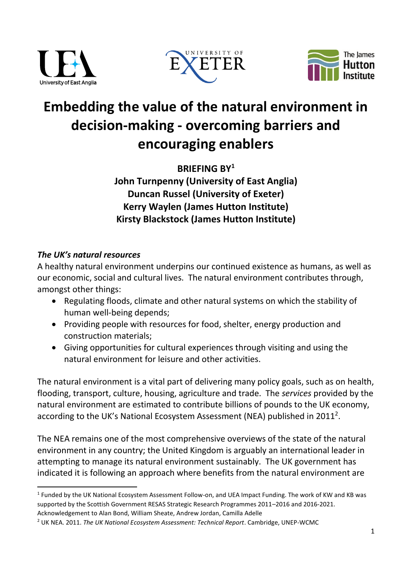





# **Embedding the value of the natural environment in decision-making - overcoming barriers and encouraging enablers**

**BRIEFING BY<sup>1</sup> John Turnpenny (University of East Anglia) Duncan Russel (University of Exeter) Kerry Waylen (James Hutton Institute) Kirsty Blackstock (James Hutton Institute)**

# *The UK's natural resources*

**.** 

A healthy natural environment underpins our continued existence as humans, as well as our economic, social and cultural lives. The natural environment contributes through, amongst other things:

- Regulating floods, climate and other natural systems on which the stability of human well-being depends;
- Providing people with resources for food, shelter, energy production and construction materials;
- Giving opportunities for cultural experiences through visiting and using the natural environment for leisure and other activities.

The natural environment is a vital part of delivering many policy goals, such as on health, flooding, transport, culture, housing, agriculture and trade. The *services* provided by the natural environment are estimated to contribute billions of pounds to the UK economy, according to the UK's National Ecosystem Assessment (NEA) published in 2011<sup>2</sup>.

The NEA remains one of the most comprehensive overviews of the state of the natural environment in any country; the United Kingdom is arguably an international leader in attempting to manage its natural environment sustainably. The UK government has indicated it is following an approach where benefits from the natural environment are

<sup>&</sup>lt;sup>1</sup> Funded by the UK National Ecosystem Assessment Follow-on, and UEA Impact Funding. The work of KW and KB was supported by the Scottish Government RESAS Strategic Research Programmes 2011–2016 and 2016-2021. Acknowledgement to Alan Bond, William Sheate, Andrew Jordan, Camilla Adelle

<sup>2</sup> UK NEA. 2011. *The UK National Ecosystem Assessment: Technical Report*. Cambridge, UNEP-WCMC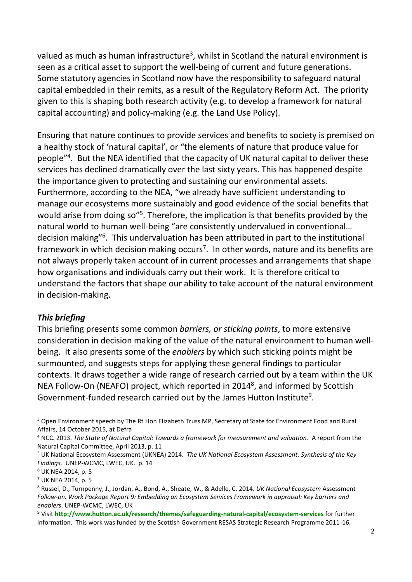valued as much as human infrastructure<sup>3</sup>, whilst in Scotland the natural environment is seen as a critical asset to support the well-being of current and future generations. Some statutory agencies in Scotland now have the responsibility to safeguard natural capital embedded in their remits, as a result of the Regulatory Reform Act. The priority given to this is shaping both research activity (e.g. to develop a framework for natural capital accounting) and policy-making (e.g. the Land Use Policy).

Ensuring that nature continues to provide services and benefits to society is premised on a healthy stock of 'natural capital', or "the elements of nature that produce value for people"<sup>4</sup> . But the NEA identified that the capacity of UK natural capital to deliver these services has declined dramatically over the last sixty years. This has happened despite the importance given to protecting and sustaining our environmental assets. Furthermore, according to the NEA, "we already have sufficient understanding to manage our ecosystems more sustainably and good evidence of the social benefits that would arise from doing so"<sup>5</sup>. Therefore, the implication is that benefits provided by the natural world to human well-being "are consistently undervalued in conventional… decision making"<sup>6</sup>. This undervaluation has been attributed in part to the institutional framework in which decision making occurs<sup>7</sup>. In other words, nature and its benefits are not always properly taken account of in current processes and arrangements that shape how organisations and individuals carry out their work. It is therefore critical to understand the factors that shape our ability to take account of the natural environment in decision-making.

#### *This briefing*

This briefing presents some common *barriers, or sticking points*, to more extensive consideration in decision making of the value of the natural environment to human wellbeing. It also presents some of the *enablers* by which such sticking points might be surmounted, and suggests steps for applying these general findings to particular contexts. It draws together a wide range of research carried out by a team within the UK NEA Follow-On (NEAFO) project, which reported in 2014<sup>8</sup>, and informed by Scottish Government-funded research carried out by the James Hutton Institute<sup>9</sup>.

**.** 

<sup>3</sup> Open Environment speech by The Rt Hon Elizabeth Truss MP, Secretary of State for Environment Food and Rural Affairs, 14 October 2015, at Defra

<sup>&</sup>lt;sup>4</sup> NCC. 2013. *The State of Natural Capital: Towards a framework for measurement and valuation.* A report from the Natural Capital Committee, April 2013, p. 11

<sup>5</sup> UK National Ecosystem Assessment (UKNEA) 2014. *The UK National Ecosystem Assessment: Synthesis of the Key Findings.* UNEP-WCMC, LWEC, UK. p. 14

<sup>6</sup> UK NEA 2014, p. 5

<sup>7</sup> UK NEA 2014, p. 5

<sup>8</sup> Russel, D., Turnpenny, J., Jordan, A., Bond, A., Sheate, W., & Adelle, C. 2014. *UK National Ecosystem* Assessment *Follow-on. Work Package Report 9: Embedding an Ecosystem Services Framework in appraisal: Key barriers and enablers*. UNEP-WCMC, LWEC, UK

<sup>9</sup> Visit **<http://www.hutton.ac.uk/research/themes/safeguarding-natural-capital/ecosystem-services>** for further information. This work was funded by the Scottish Government RESAS Strategic Research Programme 2011-16.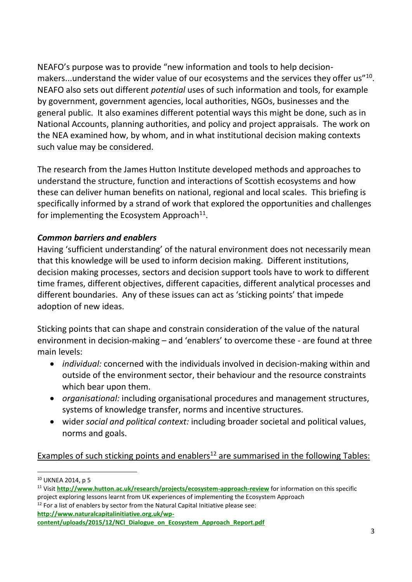NEAFO's purpose was to provide "new information and tools to help decisionmakers...understand the wider value of our ecosystems and the services they offer us"<sup>10</sup>. NEAFO also sets out different *potential* uses of such information and tools, for example by government, government agencies, local authorities, NGOs, businesses and the general public. It also examines different potential ways this might be done, such as in National Accounts, planning authorities, and policy and project appraisals. The work on the NEA examined how, by whom, and in what institutional decision making contexts such value may be considered.

The research from the James Hutton Institute developed methods and approaches to understand the structure, function and interactions of Scottish ecosystems and how these can deliver human benefits on national, regional and local scales. This briefing is specifically informed by a strand of work that explored the opportunities and challenges for implementing the Ecosystem Approach<sup>11</sup>.

## *Common barriers and enablers*

Having 'sufficient understanding' of the natural environment does not necessarily mean that this knowledge will be used to inform decision making.Different institutions, decision making processes, sectors and decision support tools have to work to different time frames, different objectives, different capacities, different analytical processes and different boundaries. Any of these issues can act as 'sticking points' that impede adoption of new ideas.

Sticking points that can shape and constrain consideration of the value of the natural environment in decision-making – and 'enablers' to overcome these - are found at three main levels:

- *individual:* concerned with the individuals involved in decision-making within and outside of the environment sector, their behaviour and the resource constraints which bear upon them.
- *organisational:* including organisational procedures and management structures, systems of knowledge transfer, norms and incentive structures.
- wider *social and political context:* including broader societal and political values, norms and goals.

Examples of such sticking points and enablers<sup>12</sup> are summarised in the following Tables:

 $12$  For a list of enablers by sector from the Natural Capital Initiative please see: **[http://www.naturalcapitalinitiative.org.uk/wp-](http://www.naturalcapitalinitiative.org.uk/wp-content/uploads/2015/12/NCI_Dialogue_on_Ecosystem_Approach_Report.pdf)**

**<sup>.</sup>** <sup>10</sup> UKNEA 2014, p 5

<sup>11</sup> Visit **<http://www.hutton.ac.uk/research/projects/ecosystem-approach-review>** for information on this specific project exploring lessons learnt from UK experiences of implementing the Ecosystem Approach

**[content/uploads/2015/12/NCI\\_Dialogue\\_on\\_Ecosystem\\_Approach\\_Report.pdf](http://www.naturalcapitalinitiative.org.uk/wp-content/uploads/2015/12/NCI_Dialogue_on_Ecosystem_Approach_Report.pdf)**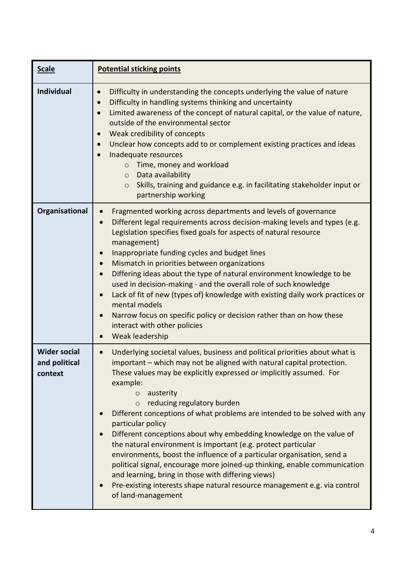| <b>Scale</b>                                    | <b>Potential sticking points</b>                                                                                                                                                                                                                                                                                                                                                                                                                                                                                                                                                                                                                                                                                                                                                                                                                                |
|-------------------------------------------------|-----------------------------------------------------------------------------------------------------------------------------------------------------------------------------------------------------------------------------------------------------------------------------------------------------------------------------------------------------------------------------------------------------------------------------------------------------------------------------------------------------------------------------------------------------------------------------------------------------------------------------------------------------------------------------------------------------------------------------------------------------------------------------------------------------------------------------------------------------------------|
| <b>Individual</b>                               | Difficulty in understanding the concepts underlying the value of nature<br>Difficulty in handling systems thinking and uncertainty<br>$\bullet$<br>Limited awareness of the concept of natural capital, or the value of nature,<br>outside of the environmental sector<br>Weak credibility of concepts<br>$\bullet$<br>Unclear how concepts add to or complement existing practices and ideas<br>Inadequate resources<br>Time, money and workload<br>$\circ$<br>Data availability<br>$\circ$<br>Skills, training and guidance e.g. in facilitating stakeholder input or<br>$\circ$<br>partnership working                                                                                                                                                                                                                                                       |
| Organisational                                  | Fragmented working across departments and levels of governance<br>Different legal requirements across decision-making levels and types (e.g.<br>Legislation specifies fixed goals for aspects of natural resource<br>management)<br>Inappropriate funding cycles and budget lines<br>Mismatch in priorities between organizations<br>Differing ideas about the type of natural environment knowledge to be<br>used in decision-making - and the overall role of such knowledge<br>Lack of fit of new (types of) knowledge with existing daily work practices or<br>mental models<br>Narrow focus on specific policy or decision rather than on how these<br>interact with other policies<br>Weak leadership                                                                                                                                                     |
| <b>Wider social</b><br>and political<br>context | Underlying societal values, business and political priorities about what is<br>important - which may not be aligned with natural capital protection.<br>These values may be explicitly expressed or implicitly assumed. For<br>example:<br>$\circ$ austerity<br>reducing regulatory burden<br>$\circ$<br>Different conceptions of what problems are intended to be solved with any<br>particular policy<br>Different conceptions about why embedding knowledge on the value of<br>the natural environment is important (e.g. protect particular<br>environments, boost the influence of a particular organisation, send a<br>political signal, encourage more joined-up thinking, enable communication<br>and learning, bring in those with differing views)<br>Pre-existing interests shape natural resource management e.g. via control<br>of land-management |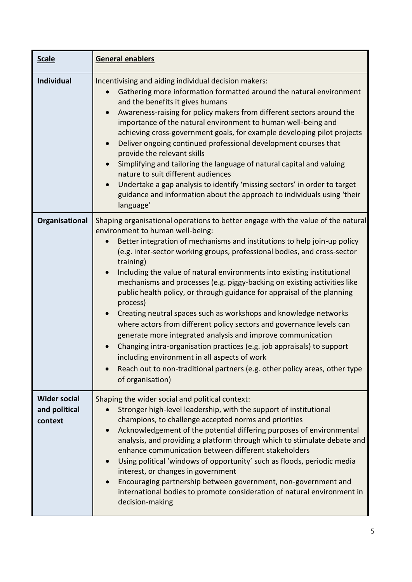| <b>Scale</b>                                    | General enablers                                                                                                                                                                                                                                                                                                                                                                                                                                                                                                                                                                                                                                                                                                                                                                                                                                                                                                                                                                                                      |
|-------------------------------------------------|-----------------------------------------------------------------------------------------------------------------------------------------------------------------------------------------------------------------------------------------------------------------------------------------------------------------------------------------------------------------------------------------------------------------------------------------------------------------------------------------------------------------------------------------------------------------------------------------------------------------------------------------------------------------------------------------------------------------------------------------------------------------------------------------------------------------------------------------------------------------------------------------------------------------------------------------------------------------------------------------------------------------------|
| <b>Individual</b>                               | Incentivising and aiding individual decision makers:<br>Gathering more information formatted around the natural environment<br>and the benefits it gives humans<br>Awareness-raising for policy makers from different sectors around the<br>importance of the natural environment to human well-being and<br>achieving cross-government goals, for example developing pilot projects<br>Deliver ongoing continued professional development courses that<br>$\bullet$<br>provide the relevant skills<br>Simplifying and tailoring the language of natural capital and valuing<br>nature to suit different audiences<br>Undertake a gap analysis to identify 'missing sectors' in order to target<br>$\bullet$<br>guidance and information about the approach to individuals using 'their<br>language'                                                                                                                                                                                                                  |
| Organisational                                  | Shaping organisational operations to better engage with the value of the natural<br>environment to human well-being:<br>Better integration of mechanisms and institutions to help join-up policy<br>(e.g. inter-sector working groups, professional bodies, and cross-sector<br>training)<br>Including the value of natural environments into existing institutional<br>$\bullet$<br>mechanisms and processes (e.g. piggy-backing on existing activities like<br>public health policy, or through guidance for appraisal of the planning<br>process)<br>Creating neutral spaces such as workshops and knowledge networks<br>$\bullet$<br>where actors from different policy sectors and governance levels can<br>generate more integrated analysis and improve communication<br>Changing intra-organisation practices (e.g. job appraisals) to support<br>including environment in all aspects of work<br>Reach out to non-traditional partners (e.g. other policy areas, other type<br>$\bullet$<br>of organisation) |
| <b>Wider social</b><br>and political<br>context | Shaping the wider social and political context:<br>Stronger high-level leadership, with the support of institutional<br>champions, to challenge accepted norms and priorities<br>Acknowledgement of the potential differing purposes of environmental<br>$\bullet$<br>analysis, and providing a platform through which to stimulate debate and<br>enhance communication between different stakeholders<br>Using political 'windows of opportunity' such as floods, periodic media<br>interest, or changes in government<br>Encouraging partnership between government, non-government and<br>international bodies to promote consideration of natural environment in<br>decision-making                                                                                                                                                                                                                                                                                                                               |